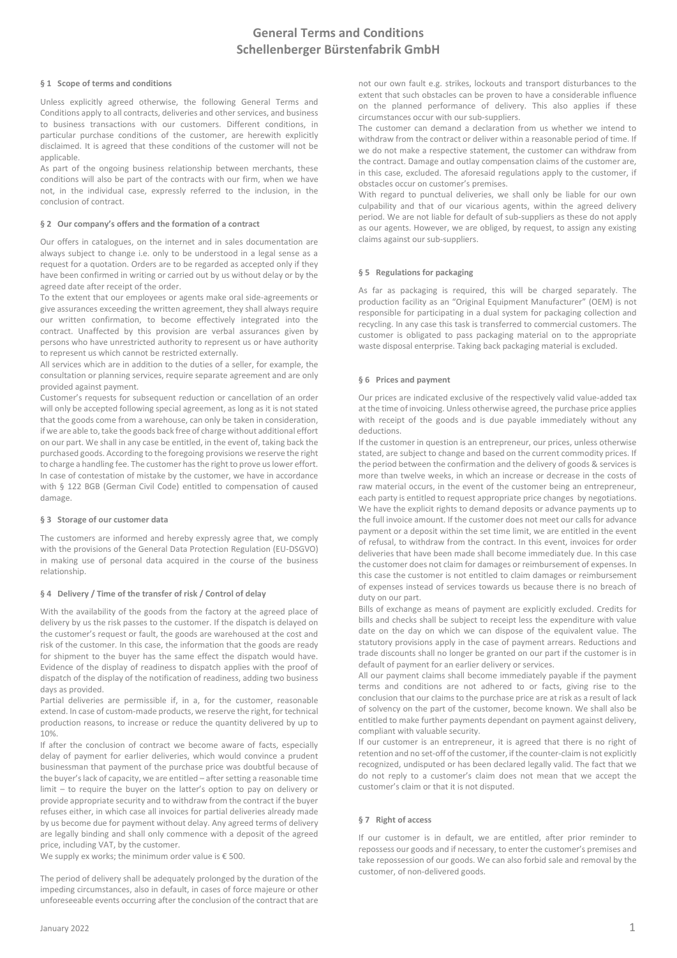### **§ 1 Scope of terms and conditions**

Unless explicitly agreed otherwise, the following General Terms and Conditions apply to all contracts, deliveries and other services, and business to business transactions with our customers. Different conditions, in particular purchase conditions of the customer, are herewith explicitly disclaimed. It is agreed that these conditions of the customer will not be applicable.

As part of the ongoing business relationship between merchants, these conditions will also be part of the contracts with our firm, when we have not, in the individual case, expressly referred to the inclusion, in the conclusion of contract.

### **§ 2 Our company's offers and the formation of a contract**

Our offers in catalogues, on the internet and in sales documentation are always subject to change i.e. only to be understood in a legal sense as a request for a quotation. Orders are to be regarded as accepted only if they have been confirmed in writing or carried out by us without delay or by the agreed date after receipt of the order.

To the extent that our employees or agents make oral side-agreements or give assurances exceeding the written agreement, they shall always require our written confirmation, to become effectively integrated into the contract. Unaffected by this provision are verbal assurances given by persons who have unrestricted authority to represent us or have authority to represent us which cannot be restricted externally.

All services which are in addition to the duties of a seller, for example, the consultation or planning services, require separate agreement and are only provided against payment.

Customer's requests for subsequent reduction or cancellation of an order will only be accepted following special agreement, as long as it is not stated that the goods come from a warehouse, can only be taken in consideration, if we are able to, take the goods back free of charge without additional effort on our part. We shall in any case be entitled, in the event of, taking back the purchased goods. According to the foregoing provisions we reserve the right to charge a handling fee. The customer has the right to prove us lower effort. In case of contestation of mistake by the customer, we have in accordance with § 122 BGB (German Civil Code) entitled to compensation of caused damage.

### **§ 3 Storage of our customer data**

The customers are informed and hereby expressly agree that, we comply with the provisions of the General Data Protection Regulation (EU-DSGVO) in making use of personal data acquired in the course of the business relationship.

### **§ 4 Delivery / Time of the transfer of risk / Control of delay**

With the availability of the goods from the factory at the agreed place of delivery by us the risk passes to the customer. If the dispatch is delayed on the customer's request or fault, the goods are warehoused at the cost and risk of the customer. In this case, the information that the goods are ready for shipment to the buyer has the same effect the dispatch would have. Evidence of the display of readiness to dispatch applies with the proof of dispatch of the display of the notification of readiness, adding two business days as provided.

Partial deliveries are permissible if, in a, for the customer, reasonable extend. In case of custom-made products, we reserve the right, for technical production reasons, to increase or reduce the quantity delivered by up to 10%.

If after the conclusion of contract we become aware of facts, especially delay of payment for earlier deliveries, which would convince a prudent businessman that payment of the purchase price was doubtful because of the buyer's lack of capacity, we are entitled – after setting a reasonable time limit – to require the buyer on the latter's option to pay on delivery or provide appropriate security and to withdraw from the contract if the buyer refuses either, in which case all invoices for partial deliveries already made by us become due for payment without delay. Any agreed terms of delivery are legally binding and shall only commence with a deposit of the agreed price, including VAT, by the customer.

We supply ex works; the minimum order value is  $\epsilon$  500.

The period of delivery shall be adequately prolonged by the duration of the impeding circumstances, also in default, in cases of force majeure or other unforeseeable events occurring after the conclusion of the contract that are not our own fault e.g. strikes, lockouts and transport disturbances to the extent that such obstacles can be proven to have a considerable influence on the planned performance of delivery. This also applies if these circumstances occur with our sub-suppliers.

The customer can demand a declaration from us whether we intend to withdraw from the contract or deliver within a reasonable period of time. If we do not make a respective statement, the customer can withdraw from the contract. Damage and outlay compensation claims of the customer are, in this case, excluded. The aforesaid regulations apply to the customer, if obstacles occur on customer's premises.

With regard to punctual deliveries, we shall only be liable for our own culpability and that of our vicarious agents, within the agreed delivery period. We are not liable for default of sub-suppliers as these do not apply as our agents. However, we are obliged, by request, to assign any existing claims against our sub-suppliers.

# **§ 5 Regulations for packaging**

As far as packaging is required, this will be charged separately. The production facility as an "Original Equipment Manufacturer" (OEM) is not responsible for participating in a dual system for packaging collection and recycling. In any case this task is transferred to commercial customers. The customer is obligated to pass packaging material on to the appropriate waste disposal enterprise. Taking back packaging material is excluded.

# **§ 6 Prices and payment**

Our prices are indicated exclusive of the respectively valid value-added tax at the time of invoicing. Unless otherwise agreed, the purchase price applies with receipt of the goods and is due payable immediately without any deductions.

If the customer in question is an entrepreneur, our prices, unless otherwise stated, are subject to change and based on the current commodity prices. If the period between the confirmation and the delivery of goods & services is more than twelve weeks, in which an increase or decrease in the costs of raw material occurs, in the event of the customer being an entrepreneur, each party is entitled to request appropriate price changes by negotiations. We have the explicit rights to demand deposits or advance payments up to the full invoice amount. If the customer does not meet our calls for advance payment or a deposit within the set time limit, we are entitled in the event of refusal, to withdraw from the contract. In this event, invoices for order deliveries that have been made shall become immediately due. In this case the customer does not claim for damages or reimbursement of expenses. In this case the customer is not entitled to claim damages or reimbursement of expenses instead of services towards us because there is no breach of duty on our part.

Bills of exchange as means of payment are explicitly excluded. Credits for bills and checks shall be subject to receipt less the expenditure with value date on the day on which we can dispose of the equivalent value. The statutory provisions apply in the case of payment arrears. Reductions and trade discounts shall no longer be granted on our part if the customer is in default of payment for an earlier delivery or services.

All our payment claims shall become immediately payable if the payment terms and conditions are not adhered to or facts, giving rise to the conclusion that our claims to the purchase price are at risk as a result of lack of solvency on the part of the customer, become known. We shall also be entitled to make further payments dependant on payment against delivery, compliant with valuable security.

If our customer is an entrepreneur, it is agreed that there is no right of retention and no set-off of the customer, if the counter-claim is not explicitly recognized, undisputed or has been declared legally valid. The fact that we do not reply to a customer's claim does not mean that we accept the customer's claim or that it is not disputed.

### **§ 7 Right of access**

If our customer is in default, we are entitled, after prior reminder to repossess our goods and if necessary, to enter the customer's premises and take repossession of our goods. We can also forbid sale and removal by the customer, of non-delivered goods.